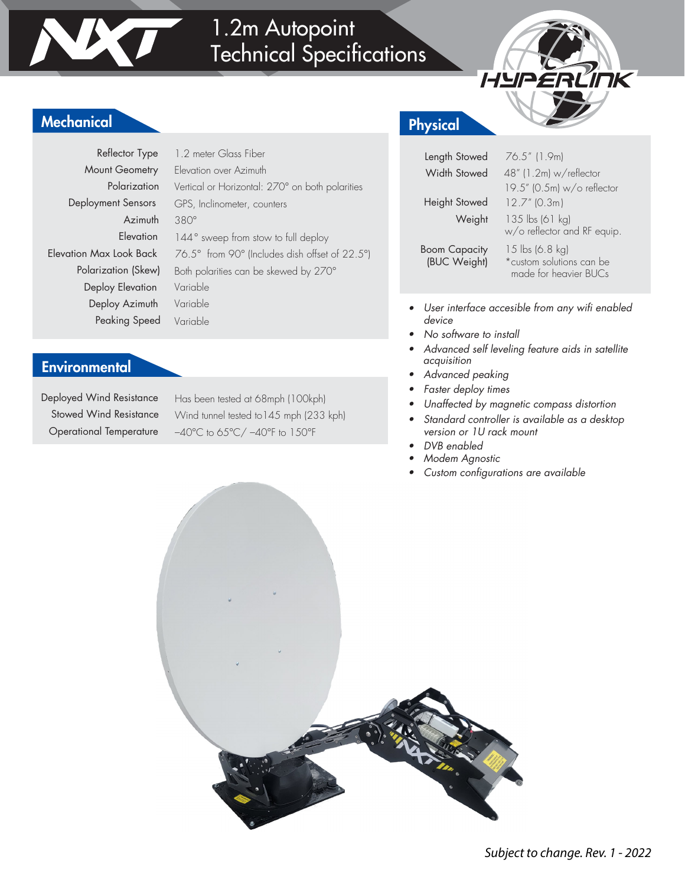



Mount Geometry Polarization Deployment Sensors Azimuth **Elevation** Polarization (Skew) Deploy Elevation Deploy Azimuth Peaking Speed Reflector Type

1.2 meter Glass Fiber Elevation over Azimuth Vertical or Horizontal: 270° on both polarities GPS, Inclinometer, counters 380° 144° sweep from stow to full deploy Elevation Max Look Back 76.5° from 90° (Includes dish offset of 22.5°) Both polarities can be skewed by 270° Variable Variable Variable

#### **Environmental**

Deployed Wind Resistance Stowed Wind Resistance Operational Temperature

Has been tested at 68mph (100kph) Wind tunnel tested to145 mph (233 kph) –40°C to 65°C/ –40°F to 150°F

### Physical

| Length Stowed<br>Width Stowed        | 76.5" (1.9m)<br>48" (1.2m) w/reflector<br>19.5" (0.5m) w/o reflector |
|--------------------------------------|----------------------------------------------------------------------|
| Height Stowed<br>Weight              | $12.7''$ (0.3m)<br>135 lbs (61 kg)<br>w/o reflector and RF equip.    |
| <b>Boom Capacity</b><br>(BUC Weight) | 15 lbs (6.8 kg)<br>*custom solutions can be<br>made for heavier BUCs |

HYPERLINK

- User interface accesible from any wifi enabled device
- No software to install
- Advanced self leveling feature aids in satellite acquisition
- Advanced peaking
- Faster deploy times
- Unaffected by magnetic compass distortion
- Standard controller is available as a desktop version or 1U rack mount
- DVB enabled
- Modem Agnostic
- Custom configurations are available